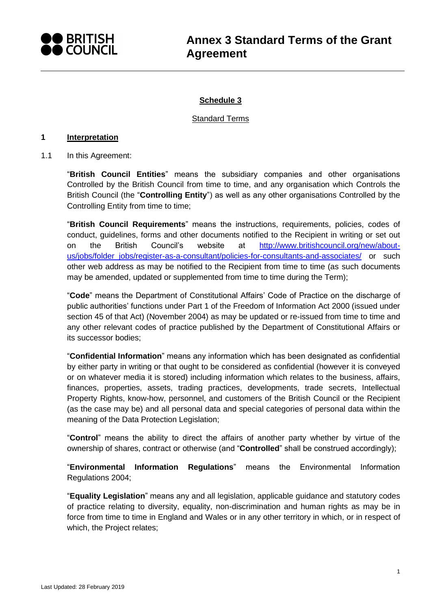

# **Schedule 3**

#### Standard Terms

#### **1 Interpretation**

1.1 In this Agreement:

"**British Council Entities**" means the subsidiary companies and other organisations Controlled by the British Council from time to time, and any organisation which Controls the British Council (the "**Controlling Entity**") as well as any other organisations Controlled by the Controlling Entity from time to time;

"**British Council Requirements**" means the instructions, requirements, policies, codes of conduct, guidelines, forms and other documents notified to the Recipient in writing or set out on the British Council's website at [http://www.britishcouncil.org/new/about](http://www.britishcouncil.org/new/about-us/jobs/folder_jobs/register-as-a-consultant/policies-for-consultants-and-associates/)[us/jobs/folder\\_jobs/register-as-a-consultant/policies-for-consultants-and-associates/](http://www.britishcouncil.org/new/about-us/jobs/folder_jobs/register-as-a-consultant/policies-for-consultants-and-associates/) or such other web address as may be notified to the Recipient from time to time (as such documents may be amended, updated or supplemented from time to time during the Term);

"**Code**" means the Department of Constitutional Affairs' Code of Practice on the discharge of public authorities' functions under Part 1 of the Freedom of Information Act 2000 (issued under section 45 of that Act) (November 2004) as may be updated or re-issued from time to time and any other relevant codes of practice published by the Department of Constitutional Affairs or its successor bodies;

"**Confidential Information**" means any information which has been designated as confidential by either party in writing or that ought to be considered as confidential (however it is conveyed or on whatever media it is stored) including information which relates to the business, affairs, finances, properties, assets, trading practices, developments, trade secrets, Intellectual Property Rights, know-how, personnel, and customers of the British Council or the Recipient (as the case may be) and all personal data and special categories of personal data within the meaning of the Data Protection Legislation;

"**Control**" means the ability to direct the affairs of another party whether by virtue of the ownership of shares, contract or otherwise (and "**Controlled**" shall be construed accordingly);

"**Environmental Information Regulations**" means the Environmental Information Regulations 2004;

"**Equality Legislation**" means any and all legislation, applicable guidance and statutory codes of practice relating to diversity, equality, non-discrimination and human rights as may be in force from time to time in England and Wales or in any other territory in which, or in respect of which, the Project relates;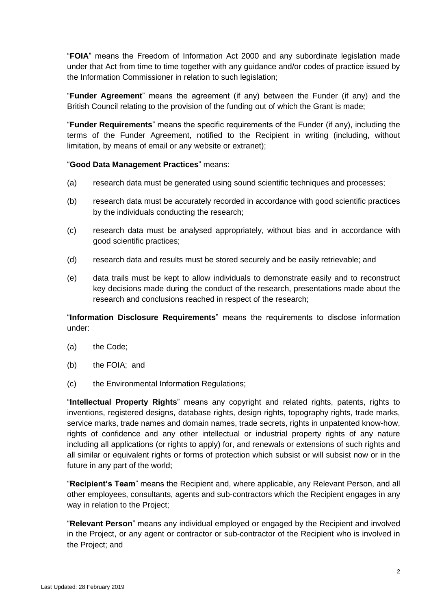"**FOIA**" means the Freedom of Information Act 2000 and any subordinate legislation made under that Act from time to time together with any guidance and/or codes of practice issued by the Information Commissioner in relation to such legislation;

"**Funder Agreement**" means the agreement (if any) between the Funder (if any) and the British Council relating to the provision of the funding out of which the Grant is made;

"**Funder Requirements**" means the specific requirements of the Funder (if any), including the terms of the Funder Agreement, notified to the Recipient in writing (including, without limitation, by means of email or any website or extranet);

"**Good Data Management Practices**" means:

- (a) research data must be generated using sound scientific techniques and processes;
- (b) research data must be accurately recorded in accordance with good scientific practices by the individuals conducting the research;
- (c) research data must be analysed appropriately, without bias and in accordance with good scientific practices;
- (d) research data and results must be stored securely and be easily retrievable; and
- (e) data trails must be kept to allow individuals to demonstrate easily and to reconstruct key decisions made during the conduct of the research, presentations made about the research and conclusions reached in respect of the research;

"**Information Disclosure Requirements**" means the requirements to disclose information under:

- (a) the Code;
- (b) the FOIA; and
- (c) the Environmental Information Regulations;

"**Intellectual Property Rights**" means any copyright and related rights, patents, rights to inventions, registered designs, database rights, design rights, topography rights, trade marks, service marks, trade names and domain names, trade secrets, rights in unpatented know-how, rights of confidence and any other intellectual or industrial property rights of any nature including all applications (or rights to apply) for, and renewals or extensions of such rights and all similar or equivalent rights or forms of protection which subsist or will subsist now or in the future in any part of the world;

"**Recipient's Team**" means the Recipient and, where applicable, any Relevant Person, and all other employees, consultants, agents and sub-contractors which the Recipient engages in any way in relation to the Project;

"**Relevant Person**" means any individual employed or engaged by the Recipient and involved in the Project, or any agent or contractor or sub-contractor of the Recipient who is involved in the Project; and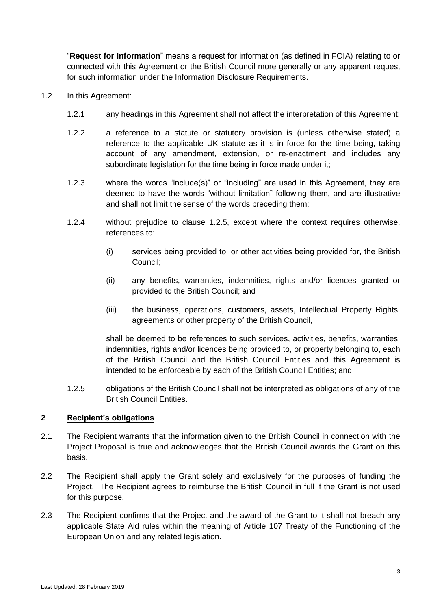"**Request for Information**" means a request for information (as defined in FOIA) relating to or connected with this Agreement or the British Council more generally or any apparent request for such information under the Information Disclosure Requirements.

- <span id="page-2-1"></span>1.2 In this Agreement:
	- 1.2.1 any headings in this Agreement shall not affect the interpretation of this Agreement;
	- 1.2.2 a reference to a statute or statutory provision is (unless otherwise stated) a reference to the applicable UK statute as it is in force for the time being, taking account of any amendment, extension, or re-enactment and includes any subordinate legislation for the time being in force made under it;
	- 1.2.3 where the words "include(s)" or "including" are used in this Agreement, they are deemed to have the words "without limitation" following them, and are illustrative and shall not limit the sense of the words preceding them;
	- 1.2.4 without prejudice to clause [1.2.5,](#page-2-0) except where the context requires otherwise, references to:
		- (i) services being provided to, or other activities being provided for, the British Council;
		- (ii) any benefits, warranties, indemnities, rights and/or licences granted or provided to the British Council; and
		- (iii) the business, operations, customers, assets, Intellectual Property Rights, agreements or other property of the British Council,

shall be deemed to be references to such services, activities, benefits, warranties, indemnities, rights and/or licences being provided to, or property belonging to, each of the British Council and the British Council Entities and this Agreement is intended to be enforceable by each of the British Council Entities; and

<span id="page-2-0"></span>1.2.5 obligations of the British Council shall not be interpreted as obligations of any of the British Council Entities.

## **2 Recipient's obligations**

- 2.1 The Recipient warrants that the information given to the British Council in connection with the Project Proposal is true and acknowledges that the British Council awards the Grant on this basis.
- 2.2 The Recipient shall apply the Grant solely and exclusively for the purposes of funding the Project. The Recipient agrees to reimburse the British Council in full if the Grant is not used for this purpose.
- 2.3 The Recipient confirms that the Project and the award of the Grant to it shall not breach any applicable State Aid rules within the meaning of Article 107 Treaty of the Functioning of the European Union and any related legislation.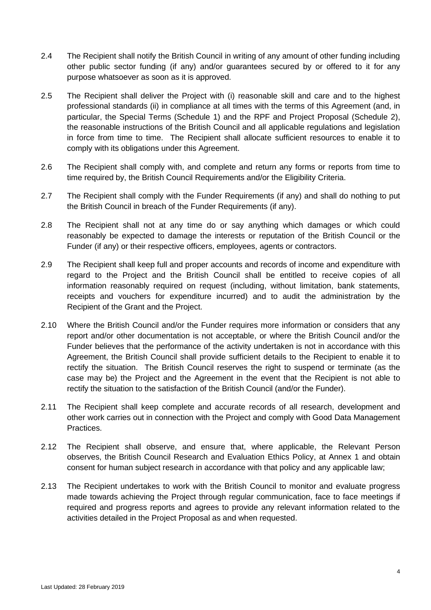- 2.4 The Recipient shall notify the British Council in writing of any amount of other funding including other public sector funding (if any) and/or guarantees secured by or offered to it for any purpose whatsoever as soon as it is approved.
- 2.5 The Recipient shall deliver the Project with (i) reasonable skill and care and to the highest professional standards (ii) in compliance at all times with the terms of this Agreement (and, in particular, the Special Terms (Schedule 1) and the RPF and Project Proposal (Schedule 2), the reasonable instructions of the British Council and all applicable regulations and legislation in force from time to time. The Recipient shall allocate sufficient resources to enable it to comply with its obligations under this Agreement.
- 2.6 The Recipient shall comply with, and complete and return any forms or reports from time to time required by, the British Council Requirements and/or the Eligibility Criteria.
- 2.7 The Recipient shall comply with the Funder Requirements (if any) and shall do nothing to put the British Council in breach of the Funder Requirements (if any).
- 2.8 The Recipient shall not at any time do or say anything which damages or which could reasonably be expected to damage the interests or reputation of the British Council or the Funder (if any) or their respective officers, employees, agents or contractors.
- 2.9 The Recipient shall keep full and proper accounts and records of income and expenditure with regard to the Project and the British Council shall be entitled to receive copies of all information reasonably required on request (including, without limitation, bank statements, receipts and vouchers for expenditure incurred) and to audit the administration by the Recipient of the Grant and the Project.
- 2.10 Where the British Council and/or the Funder requires more information or considers that any report and/or other documentation is not acceptable, or where the British Council and/or the Funder believes that the performance of the activity undertaken is not in accordance with this Agreement, the British Council shall provide sufficient details to the Recipient to enable it to rectify the situation. The British Council reserves the right to suspend or terminate (as the case may be) the Project and the Agreement in the event that the Recipient is not able to rectify the situation to the satisfaction of the British Council (and/or the Funder).
- 2.11 The Recipient shall keep complete and accurate records of all research, development and other work carries out in connection with the Project and comply with Good Data Management Practices.
- 2.12 The Recipient shall observe, and ensure that, where applicable, the Relevant Person observes, the British Council Research and Evaluation Ethics Policy, at Annex 1 and obtain consent for human subject research in accordance with that policy and any applicable law;
- 2.13 The Recipient undertakes to work with the British Council to monitor and evaluate progress made towards achieving the Project through regular communication, face to face meetings if required and progress reports and agrees to provide any relevant information related to the activities detailed in the Project Proposal as and when requested.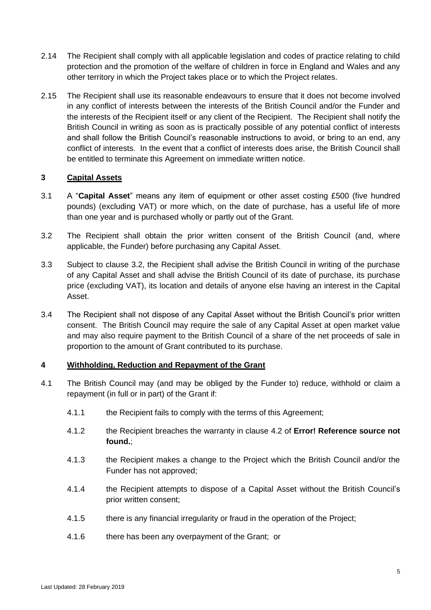- 2.14 The Recipient shall comply with all applicable legislation and codes of practice relating to child protection and the promotion of the welfare of children in force in England and Wales and any other territory in which the Project takes place or to which the Project relates.
- 2.15 The Recipient shall use its reasonable endeavours to ensure that it does not become involved in any conflict of interests between the interests of the British Council and/or the Funder and the interests of the Recipient itself or any client of the Recipient. The Recipient shall notify the British Council in writing as soon as is practically possible of any potential conflict of interests and shall follow the British Council's reasonable instructions to avoid, or bring to an end, any conflict of interests. In the event that a conflict of interests does arise, the British Council shall be entitled to terminate this Agreement on immediate written notice.

## **3 Capital Assets**

- 3.1 A "**Capital Asset**" means any item of equipment or other asset costing £500 (five hundred pounds) (excluding VAT) or more which, on the date of purchase, has a useful life of more than one year and is purchased wholly or partly out of the Grant.
- <span id="page-4-0"></span>3.2 The Recipient shall obtain the prior written consent of the British Council (and, where applicable, the Funder) before purchasing any Capital Asset.
- 3.3 Subject to clause [3.2,](#page-4-0) the Recipient shall advise the British Council in writing of the purchase of any Capital Asset and shall advise the British Council of its date of purchase, its purchase price (excluding VAT), its location and details of anyone else having an interest in the Capital Asset.
- 3.4 The Recipient shall not dispose of any Capital Asset without the British Council's prior written consent. The British Council may require the sale of any Capital Asset at open market value and may also require payment to the British Council of a share of the net proceeds of sale in proportion to the amount of Grant contributed to its purchase.

## **4 Withholding, Reduction and Repayment of the Grant**

- 4.1 The British Council may (and may be obliged by the Funder to) reduce, withhold or claim a repayment (in full or in part) of the Grant if:
	- 4.1.1 the Recipient fails to comply with the terms of this Agreement;
	- 4.1.2 the Recipient breaches the warranty in clause [4.2](#page-5-0) of **Error! Reference source not found.**;
	- 4.1.3 the Recipient makes a change to the Project which the British Council and/or the Funder has not approved;
	- 4.1.4 the Recipient attempts to dispose of a Capital Asset without the British Council's prior written consent;
	- 4.1.5 there is any financial irregularity or fraud in the operation of the Project;
	- 4.1.6 there has been any overpayment of the Grant; or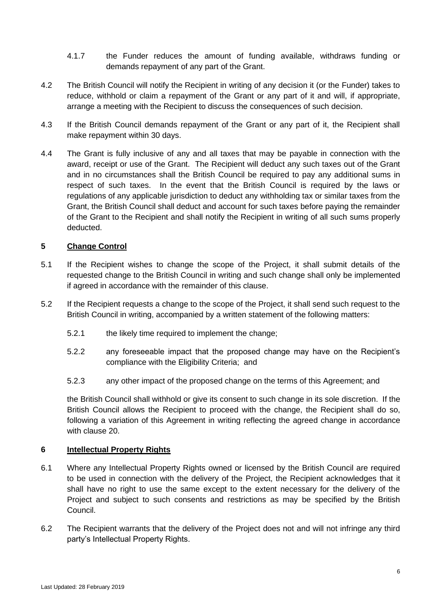- 4.1.7 the Funder reduces the amount of funding available, withdraws funding or demands repayment of any part of the Grant.
- <span id="page-5-0"></span>4.2 The British Council will notify the Recipient in writing of any decision it (or the Funder) takes to reduce, withhold or claim a repayment of the Grant or any part of it and will, if appropriate, arrange a meeting with the Recipient to discuss the consequences of such decision.
- 4.3 If the British Council demands repayment of the Grant or any part of it, the Recipient shall make repayment within 30 days.
- 4.4 The Grant is fully inclusive of any and all taxes that may be payable in connection with the award, receipt or use of the Grant. The Recipient will deduct any such taxes out of the Grant and in no circumstances shall the British Council be required to pay any additional sums in respect of such taxes. In the event that the British Council is required by the laws or regulations of any applicable jurisdiction to deduct any withholding tax or similar taxes from the Grant, the British Council shall deduct and account for such taxes before paying the remainder of the Grant to the Recipient and shall notify the Recipient in writing of all such sums properly deducted.

## **5 Change Control**

- 5.1 If the Recipient wishes to change the scope of the Project, it shall submit details of the requested change to the British Council in writing and such change shall only be implemented if agreed in accordance with the remainder of this clause.
- 5.2 If the Recipient requests a change to the scope of the Project, it shall send such request to the British Council in writing, accompanied by a written statement of the following matters:
	- 5.2.1 the likely time required to implement the change;
	- 5.2.2 any foreseeable impact that the proposed change may have on the Recipient's compliance with the Eligibility Criteria; and
	- 5.2.3 any other impact of the proposed change on the terms of this Agreement; and

the British Council shall withhold or give its consent to such change in its sole discretion. If the British Council allows the Recipient to proceed with the change, the Recipient shall do so, following a variation of this Agreement in writing reflecting the agreed change in accordance with clause [20.](#page-14-0)

## **6 Intellectual Property Rights**

- 6.1 Where any Intellectual Property Rights owned or licensed by the British Council are required to be used in connection with the delivery of the Project, the Recipient acknowledges that it shall have no right to use the same except to the extent necessary for the delivery of the Project and subject to such consents and restrictions as may be specified by the British Council.
- 6.2 The Recipient warrants that the delivery of the Project does not and will not infringe any third party's Intellectual Property Rights.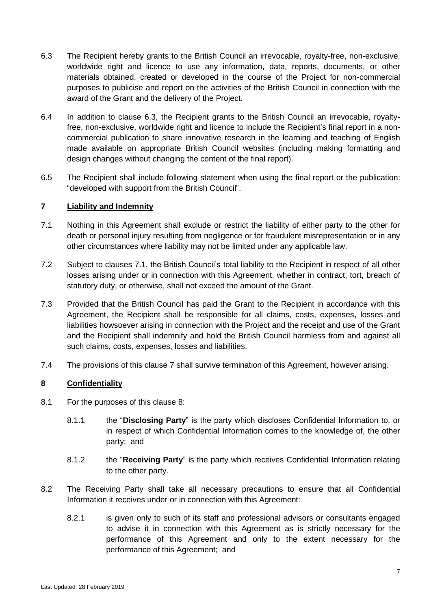- 6.3 The Recipient hereby grants to the British Council an irrevocable, royalty-free, non-exclusive, worldwide right and licence to use any information, data, reports, documents, or other materials obtained, created or developed in the course of the Project for non-commercial purposes to publicise and report on the activities of the British Council in connection with the award of the Grant and the delivery of the Project.
- 6.4 In addition to clause 6.3, the Recipient grants to the British Council an irrevocable, royaltyfree, non-exclusive, worldwide right and licence to include the Recipient's final report in a noncommercial publication to share innovative research in the learning and teaching of English made available on appropriate British Council websites (including making formatting and design changes without changing the content of the final report).
- 6.5 The Recipient shall include following statement when using the final report or the publication: "developed with support from the British Council".

## <span id="page-6-1"></span>**7 Liability and Indemnity**

- <span id="page-6-0"></span>7.1 Nothing in this Agreement shall exclude or restrict the liability of either party to the other for death or personal injury resulting from negligence or for fraudulent misrepresentation or in any other circumstances where liability may not be limited under any applicable law.
- 7.2 Subject to clauses [7.1,](#page-6-0) the British Council's total liability to the Recipient in respect of all other losses arising under or in connection with this Agreement, whether in contract, tort, breach of statutory duty, or otherwise, shall not exceed the amount of the Grant.
- 7.3 Provided that the British Council has paid the Grant to the Recipient in accordance with this Agreement, the Recipient shall be responsible for all claims, costs, expenses, losses and liabilities howsoever arising in connection with the Project and the receipt and use of the Grant and the Recipient shall indemnify and hold the British Council harmless from and against all such claims, costs, expenses, losses and liabilities.
- 7.4 The provisions of this clause [7](#page-6-1) shall survive termination of this Agreement, however arising.

## <span id="page-6-2"></span>**8 Confidentiality**

- 8.1 For the purposes of this clause [8:](#page-6-2)
	- 8.1.1 the "**Disclosing Party**" is the party which discloses Confidential Information to, or in respect of which Confidential Information comes to the knowledge of, the other party; and
	- 8.1.2 the "**Receiving Party**" is the party which receives Confidential Information relating to the other party.
- <span id="page-6-3"></span>8.2 The Receiving Party shall take all necessary precautions to ensure that all Confidential Information it receives under or in connection with this Agreement:
	- 8.2.1 is given only to such of its staff and professional advisors or consultants engaged to advise it in connection with this Agreement as is strictly necessary for the performance of this Agreement and only to the extent necessary for the performance of this Agreement; and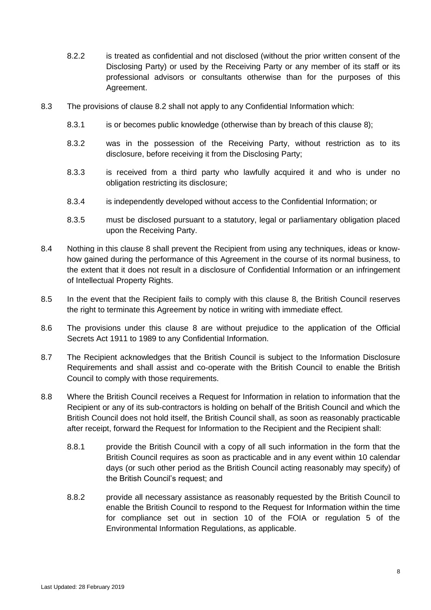- 8.2.2 is treated as confidential and not disclosed (without the prior written consent of the Disclosing Party) or used by the Receiving Party or any member of its staff or its professional advisors or consultants otherwise than for the purposes of this Agreement.
- 8.3 The provisions of clause [8.2](#page-6-3) shall not apply to any Confidential Information which:
	- 8.3.1 is or becomes public knowledge (otherwise than by breach of this clause [8\)](#page-6-2);
	- 8.3.2 was in the possession of the Receiving Party, without restriction as to its disclosure, before receiving it from the Disclosing Party;
	- 8.3.3 is received from a third party who lawfully acquired it and who is under no obligation restricting its disclosure;
	- 8.3.4 is independently developed without access to the Confidential Information; or
	- 8.3.5 must be disclosed pursuant to a statutory, legal or parliamentary obligation placed upon the Receiving Party.
- 8.4 Nothing in this clause [8](#page-6-2) shall prevent the Recipient from using any techniques, ideas or knowhow gained during the performance of this Agreement in the course of its normal business, to the extent that it does not result in a disclosure of Confidential Information or an infringement of Intellectual Property Rights.
- 8.5 In the event that the Recipient fails to comply with this clause [8,](#page-6-2) the British Council reserves the right to terminate this Agreement by notice in writing with immediate effect.
- 8.6 The provisions under this clause [8](#page-6-2) are without prejudice to the application of the Official Secrets Act 1911 to 1989 to any Confidential Information.
- 8.7 The Recipient acknowledges that the British Council is subject to the Information Disclosure Requirements and shall assist and co-operate with the British Council to enable the British Council to comply with those requirements.
- 8.8 Where the British Council receives a Request for Information in relation to information that the Recipient or any of its sub-contractors is holding on behalf of the British Council and which the British Council does not hold itself, the British Council shall, as soon as reasonably practicable after receipt, forward the Request for Information to the Recipient and the Recipient shall:
	- 8.8.1 provide the British Council with a copy of all such information in the form that the British Council requires as soon as practicable and in any event within 10 calendar days (or such other period as the British Council acting reasonably may specify) of the British Council's request; and
	- 8.8.2 provide all necessary assistance as reasonably requested by the British Council to enable the British Council to respond to the Request for Information within the time for compliance set out in section 10 of the FOIA or regulation 5 of the Environmental Information Regulations, as applicable.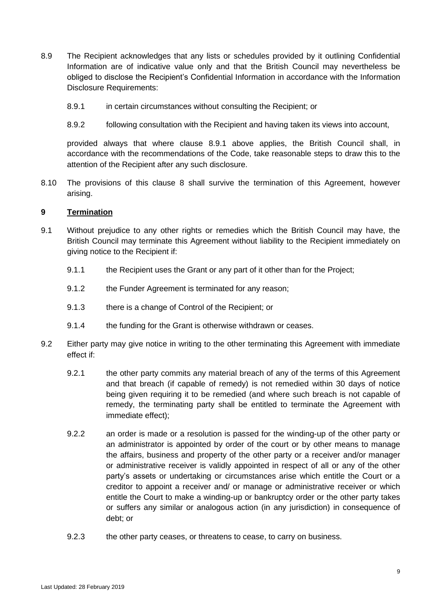- 8.9 The Recipient acknowledges that any lists or schedules provided by it outlining Confidential Information are of indicative value only and that the British Council may nevertheless be obliged to disclose the Recipient's Confidential Information in accordance with the Information Disclosure Requirements:
	- 8.9.1 in certain circumstances without consulting the Recipient; or
	- 8.9.2 following consultation with the Recipient and having taken its views into account,

<span id="page-8-0"></span>provided always that where clause [8.9.1](#page-8-0) above applies, the British Council shall, in accordance with the recommendations of the Code, take reasonable steps to draw this to the attention of the Recipient after any such disclosure.

8.10 The provisions of this clause [8](#page-6-2) shall survive the termination of this Agreement, however arising.

#### **9 Termination**

- 9.1 Without prejudice to any other rights or remedies which the British Council may have, the British Council may terminate this Agreement without liability to the Recipient immediately on giving notice to the Recipient if:
	- 9.1.1 the Recipient uses the Grant or any part of it other than for the Project;
	- 9.1.2 the Funder Agreement is terminated for any reason;
	- 9.1.3 there is a change of Control of the Recipient; or
	- 9.1.4 the funding for the Grant is otherwise withdrawn or ceases.
- 9.2 Either party may give notice in writing to the other terminating this Agreement with immediate effect if:
	- 9.2.1 the other party commits any material breach of any of the terms of this Agreement and that breach (if capable of remedy) is not remedied within 30 days of notice being given requiring it to be remedied (and where such breach is not capable of remedy, the terminating party shall be entitled to terminate the Agreement with immediate effect);
	- 9.2.2 an order is made or a resolution is passed for the winding-up of the other party or an administrator is appointed by order of the court or by other means to manage the affairs, business and property of the other party or a receiver and/or manager or administrative receiver is validly appointed in respect of all or any of the other party's assets or undertaking or circumstances arise which entitle the Court or a creditor to appoint a receiver and/ or manage or administrative receiver or which entitle the Court to make a winding-up or bankruptcy order or the other party takes or suffers any similar or analogous action (in any jurisdiction) in consequence of debt; or
	- 9.2.3 the other party ceases, or threatens to cease, to carry on business.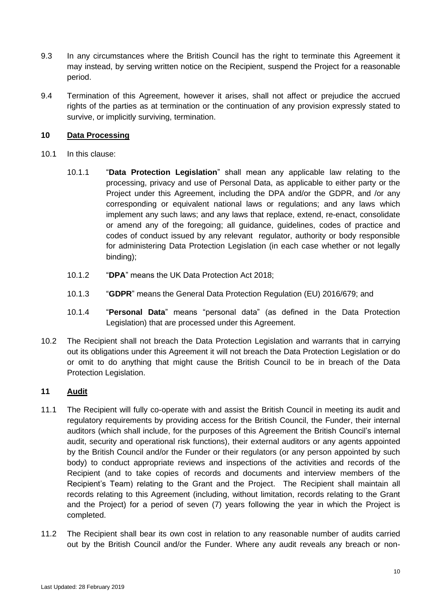- 9.3 In any circumstances where the British Council has the right to terminate this Agreement it may instead, by serving written notice on the Recipient, suspend the Project for a reasonable period.
- 9.4 Termination of this Agreement, however it arises, shall not affect or prejudice the accrued rights of the parties as at termination or the continuation of any provision expressly stated to survive, or implicitly surviving, termination.

# **10 Data Processing**

- 10.1 In this clause:
	- 10.1.1 "**Data Protection Legislation**" shall mean any applicable law relating to the processing, privacy and use of Personal Data, as applicable to either party or the Project under this Agreement, including the DPA and/or the GDPR, and /or any corresponding or equivalent national laws or regulations; and any laws which implement any such laws; and any laws that replace, extend, re-enact, consolidate or amend any of the foregoing; all guidance, guidelines, codes of practice and codes of conduct issued by any relevant regulator, authority or body responsible for administering Data Protection Legislation (in each case whether or not legally binding);
	- 10.1.2 "**DPA**" means the UK Data Protection Act 2018;
	- 10.1.3 "**GDPR**" means the General Data Protection Regulation (EU) 2016/679; and
	- 10.1.4 "**Personal Data**" means "personal data" (as defined in the Data Protection Legislation) that are processed under this Agreement.
- 10.2 The Recipient shall not breach the Data Protection Legislation and warrants that in carrying out its obligations under this Agreement it will not breach the Data Protection Legislation or do or omit to do anything that might cause the British Council to be in breach of the Data Protection Legislation.

# **11 Audit**

- 11.1 The Recipient will fully co-operate with and assist the British Council in meeting its audit and regulatory requirements by providing access for the British Council, the Funder, their internal auditors (which shall include, for the purposes of this Agreement the British Council's internal audit, security and operational risk functions), their external auditors or any agents appointed by the British Council and/or the Funder or their regulators (or any person appointed by such body) to conduct appropriate reviews and inspections of the activities and records of the Recipient (and to take copies of records and documents and interview members of the Recipient's Team) relating to the Grant and the Project. The Recipient shall maintain all records relating to this Agreement (including, without limitation, records relating to the Grant and the Project) for a period of seven (7) years following the year in which the Project is completed.
- 11.2 The Recipient shall bear its own cost in relation to any reasonable number of audits carried out by the British Council and/or the Funder. Where any audit reveals any breach or non-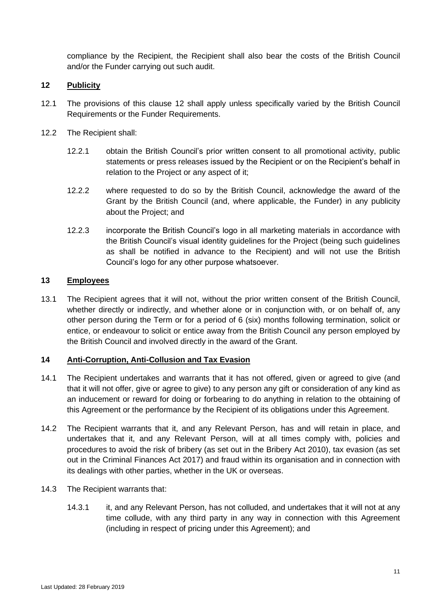compliance by the Recipient, the Recipient shall also bear the costs of the British Council and/or the Funder carrying out such audit.

# <span id="page-10-0"></span>**12 Publicity**

- 12.1 The provisions of this clause [12](#page-10-0) shall apply unless specifically varied by the British Council Requirements or the Funder Requirements.
- 12.2 The Recipient shall:
	- 12.2.1 obtain the British Council's prior written consent to all promotional activity, public statements or press releases issued by the Recipient or on the Recipient's behalf in relation to the Project or any aspect of it;
	- 12.2.2 where requested to do so by the British Council, acknowledge the award of the Grant by the British Council (and, where applicable, the Funder) in any publicity about the Project; and
	- 12.2.3 incorporate the British Council's logo in all marketing materials in accordance with the British Council's visual identity guidelines for the Project (being such guidelines as shall be notified in advance to the Recipient) and will not use the British Council's logo for any other purpose whatsoever.

## **13 Employees**

13.1 The Recipient agrees that it will not, without the prior written consent of the British Council, whether directly or indirectly, and whether alone or in conjunction with, or on behalf of, any other person during the Term or for a period of 6 (six) months following termination, solicit or entice, or endeavour to solicit or entice away from the British Council any person employed by the British Council and involved directly in the award of the Grant.

## <span id="page-10-4"></span>**14 Anti-Corruption, Anti-Collusion and Tax Evasion**

- <span id="page-10-2"></span>14.1 The Recipient undertakes and warrants that it has not offered, given or agreed to give (and that it will not offer, give or agree to give) to any person any gift or consideration of any kind as an inducement or reward for doing or forbearing to do anything in relation to the obtaining of this Agreement or the performance by the Recipient of its obligations under this Agreement.
- <span id="page-10-3"></span>14.2 The Recipient warrants that it, and any Relevant Person, has and will retain in place, and undertakes that it, and any Relevant Person, will at all times comply with, policies and procedures to avoid the risk of bribery (as set out in the Bribery Act 2010), tax evasion (as set out in the Criminal Finances Act 2017) and fraud within its organisation and in connection with its dealings with other parties, whether in the UK or overseas.
- <span id="page-10-1"></span>14.3 The Recipient warrants that:
	- 14.3.1 it, and any Relevant Person, has not colluded, and undertakes that it will not at any time collude, with any third party in any way in connection with this Agreement (including in respect of pricing under this Agreement); and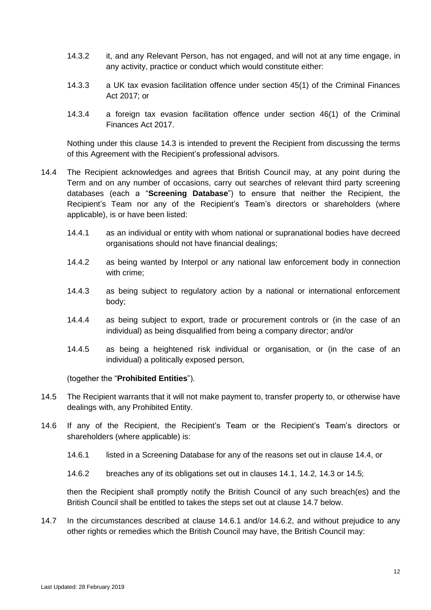- 14.3.2 it, and any Relevant Person, has not engaged, and will not at any time engage, in any activity, practice or conduct which would constitute either:
- 14.3.3 a UK tax evasion facilitation offence under section 45(1) of the Criminal Finances Act 2017; or
- 14.3.4 a foreign tax evasion facilitation offence under section 46(1) of the Criminal Finances Act 2017.

Nothing under this clause [14.3](#page-10-1) is intended to prevent the Recipient from discussing the terms of this Agreement with the Recipient's professional advisors.

- <span id="page-11-0"></span>14.4 The Recipient acknowledges and agrees that British Council may, at any point during the Term and on any number of occasions, carry out searches of relevant third party screening databases (each a "**Screening Database**") to ensure that neither the Recipient, the Recipient's Team nor any of the Recipient's Team's directors or shareholders (where applicable), is or have been listed:
	- 14.4.1 as an individual or entity with whom national or supranational bodies have decreed organisations should not have financial dealings;
	- 14.4.2 as being wanted by Interpol or any national law enforcement body in connection with crime;
	- 14.4.3 as being subject to regulatory action by a national or international enforcement body;
	- 14.4.4 as being subject to export, trade or procurement controls or (in the case of an individual) as being disqualified from being a company director; and/or
	- 14.4.5 as being a heightened risk individual or organisation, or (in the case of an individual) a politically exposed person,

(together the "**Prohibited Entities**").

- <span id="page-11-1"></span>14.5 The Recipient warrants that it will not make payment to, transfer property to, or otherwise have dealings with, any Prohibited Entity.
- <span id="page-11-5"></span><span id="page-11-3"></span>14.6 If any of the Recipient, the Recipient's Team or the Recipient's Team's directors or shareholders (where applicable) is:
	- 14.6.1 listed in a Screening Database for any of the reasons set out in clause [14.4,](#page-11-0) or
	- 14.6.2 breaches any of its obligations set out in clauses [14.1,](#page-10-2) [14.2,](#page-10-3) [14.3](#page-10-1) or [14.5;](#page-11-1)

<span id="page-11-4"></span>then the Recipient shall promptly notify the British Council of any such breach(es) and the British Council shall be entitled to takes the steps set out at clause [14.7](#page-11-2) below.

<span id="page-11-2"></span>14.7 In the circumstances described at clause [14.6.1](#page-11-3) and/or [14.6.2,](#page-11-4) and without prejudice to any other rights or remedies which the British Council may have, the British Council may: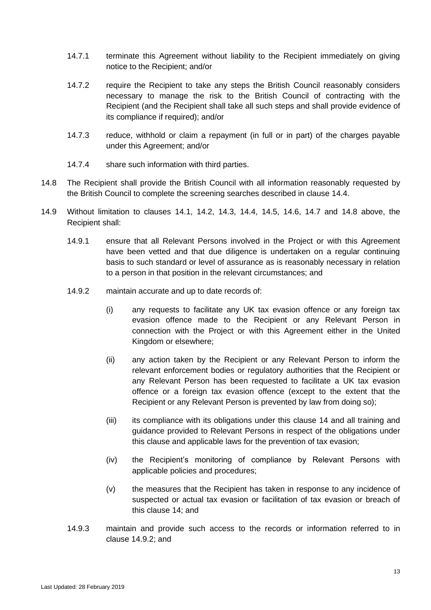- 14.7.1 terminate this Agreement without liability to the Recipient immediately on giving notice to the Recipient; and/or
- 14.7.2 require the Recipient to take any steps the British Council reasonably considers necessary to manage the risk to the British Council of contracting with the Recipient (and the Recipient shall take all such steps and shall provide evidence of its compliance if required); and/or
- 14.7.3 reduce, withhold or claim a repayment (in full or in part) of the charges payable under this Agreement; and/or
- 14.7.4 share such information with third parties.
- <span id="page-12-0"></span>14.8 The Recipient shall provide the British Council with all information reasonably requested by the British Council to complete the screening searches described in clause [14.4.](#page-11-0)
- <span id="page-12-1"></span>14.9 Without limitation to clauses [14.1,](#page-10-2) [14.2,](#page-10-3) [14.3,](#page-10-1) [14.4,](#page-11-0) [14.5,](#page-11-1) [14.6,](#page-11-5) [14.7](#page-11-2) and [14.8](#page-12-0) above, the Recipient shall:
	- 14.9.1 ensure that all Relevant Persons involved in the Project or with this Agreement have been vetted and that due diligence is undertaken on a regular continuing basis to such standard or level of assurance as is reasonably necessary in relation to a person in that position in the relevant circumstances; and
	- 14.9.2 maintain accurate and up to date records of:
		- (i) any requests to facilitate any UK tax evasion offence or any foreign tax evasion offence made to the Recipient or any Relevant Person in connection with the Project or with this Agreement either in the United Kingdom or elsewhere;
		- (ii) any action taken by the Recipient or any Relevant Person to inform the relevant enforcement bodies or regulatory authorities that the Recipient or any Relevant Person has been requested to facilitate a UK tax evasion offence or a foreign tax evasion offence (except to the extent that the Recipient or any Relevant Person is prevented by law from doing so);
		- (iii) its compliance with its obligations under this clause [14](#page-10-4) and all training and guidance provided to Relevant Persons in respect of the obligations under this clause and applicable laws for the prevention of tax evasion;
		- (iv) the Recipient's monitoring of compliance by Relevant Persons with applicable policies and procedures;
		- (v) the measures that the Recipient has taken in response to any incidence of suspected or actual tax evasion or facilitation of tax evasion or breach of this clause [14;](#page-10-4) and
	- 14.9.3 maintain and provide such access to the records or information referred to in clause [14.9.2;](#page-12-1) and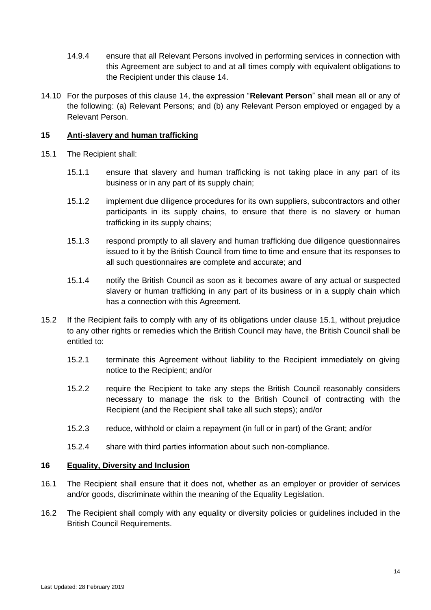- 14.9.4 ensure that all Relevant Persons involved in performing services in connection with this Agreement are subject to and at all times comply with equivalent obligations to the Recipient under this clause [14.](#page-10-4)
- 14.10 For the purposes of this clause [14,](#page-10-4) the expression "**Relevant Person**" shall mean all or any of the following: (a) Relevant Persons; and (b) any Relevant Person employed or engaged by a Relevant Person.

# **15 Anti-slavery and human trafficking**

- <span id="page-13-0"></span>15.1 The Recipient shall:
	- 15.1.1 ensure that slavery and human trafficking is not taking place in any part of its business or in any part of its supply chain;
	- 15.1.2 implement due diligence procedures for its own suppliers, subcontractors and other participants in its supply chains, to ensure that there is no slavery or human trafficking in its supply chains;
	- 15.1.3 respond promptly to all slavery and human trafficking due diligence questionnaires issued to it by the British Council from time to time and ensure that its responses to all such questionnaires are complete and accurate; and
	- 15.1.4 notify the British Council as soon as it becomes aware of any actual or suspected slavery or human trafficking in any part of its business or in a supply chain which has a connection with this Agreement.
- 15.2 If the Recipient fails to comply with any of its obligations under clause [15.1,](#page-13-0) without prejudice to any other rights or remedies which the British Council may have, the British Council shall be entitled to:
	- 15.2.1 terminate this Agreement without liability to the Recipient immediately on giving notice to the Recipient; and/or
	- 15.2.2 require the Recipient to take any steps the British Council reasonably considers necessary to manage the risk to the British Council of contracting with the Recipient (and the Recipient shall take all such steps); and/or
	- 15.2.3 reduce, withhold or claim a repayment (in full or in part) of the Grant; and/or
	- 15.2.4 share with third parties information about such non-compliance.

## **16 Equality, Diversity and Inclusion**

- 16.1 The Recipient shall ensure that it does not, whether as an employer or provider of services and/or goods, discriminate within the meaning of the Equality Legislation.
- 16.2 The Recipient shall comply with any equality or diversity policies or guidelines included in the British Council Requirements.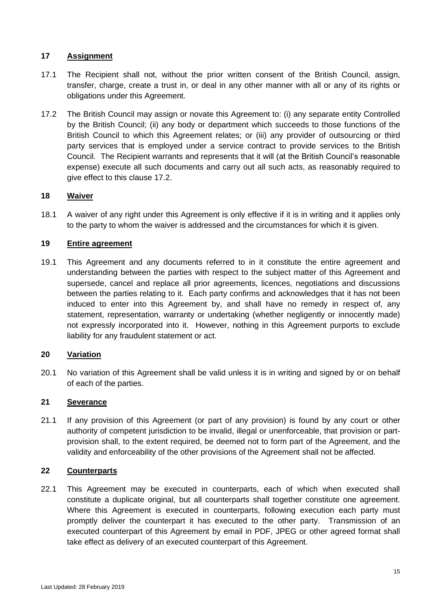# <span id="page-14-2"></span>**17 Assignment**

- 17.1 The Recipient shall not, without the prior written consent of the British Council, assign, transfer, charge, create a trust in, or deal in any other manner with all or any of its rights or obligations under this Agreement.
- <span id="page-14-1"></span>17.2 The British Council may assign or novate this Agreement to: (i) any separate entity Controlled by the British Council; (ii) any body or department which succeeds to those functions of the British Council to which this Agreement relates; or (iii) any provider of outsourcing or third party services that is employed under a service contract to provide services to the British Council. The Recipient warrants and represents that it will (at the British Council's reasonable expense) execute all such documents and carry out all such acts, as reasonably required to give effect to this clause [17.2.](#page-14-1)

## **18 Waiver**

18.1 A waiver of any right under this Agreement is only effective if it is in writing and it applies only to the party to whom the waiver is addressed and the circumstances for which it is given.

#### **19 Entire agreement**

19.1 This Agreement and any documents referred to in it constitute the entire agreement and understanding between the parties with respect to the subject matter of this Agreement and supersede, cancel and replace all prior agreements, licences, negotiations and discussions between the parties relating to it. Each party confirms and acknowledges that it has not been induced to enter into this Agreement by, and shall have no remedy in respect of, any statement, representation, warranty or undertaking (whether negligently or innocently made) not expressly incorporated into it. However, nothing in this Agreement purports to exclude liability for any fraudulent statement or act.

# <span id="page-14-0"></span>**20 Variation**

20.1 No variation of this Agreement shall be valid unless it is in writing and signed by or on behalf of each of the parties.

## **21 Severance**

21.1 If any provision of this Agreement (or part of any provision) is found by any court or other authority of competent jurisdiction to be invalid, illegal or unenforceable, that provision or partprovision shall, to the extent required, be deemed not to form part of the Agreement, and the validity and enforceability of the other provisions of the Agreement shall not be affected.

#### **22 Counterparts**

22.1 This Agreement may be executed in counterparts, each of which when executed shall constitute a duplicate original, but all counterparts shall together constitute one agreement. Where this Agreement is executed in counterparts, following execution each party must promptly deliver the counterpart it has executed to the other party. Transmission of an executed counterpart of this Agreement by email in PDF, JPEG or other agreed format shall take effect as delivery of an executed counterpart of this Agreement.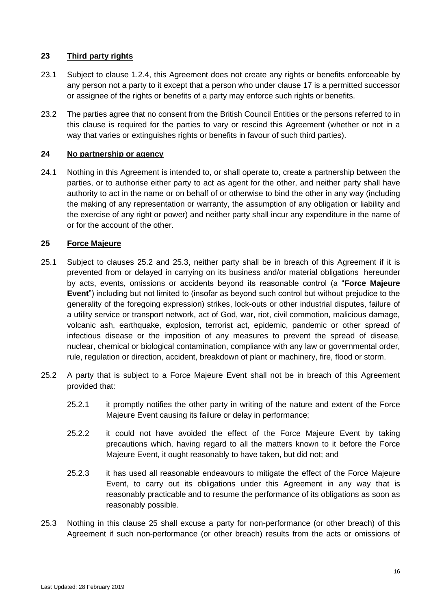# **23 Third party rights**

- 23.1 Subject to clause [1.2.4,](#page-2-1) this Agreement does not create any rights or benefits enforceable by any person not a party to it except that a person who under clause [17](#page-14-2) is a permitted successor or assignee of the rights or benefits of a party may enforce such rights or benefits.
- 23.2 The parties agree that no consent from the British Council Entities or the persons referred to in this clause is required for the parties to vary or rescind this Agreement (whether or not in a way that varies or extinguishes rights or benefits in favour of such third parties).

## **24 No partnership or agency**

24.1 Nothing in this Agreement is intended to, or shall operate to, create a partnership between the parties, or to authorise either party to act as agent for the other, and neither party shall have authority to act in the name or on behalf of or otherwise to bind the other in any way (including the making of any representation or warranty, the assumption of any obligation or liability and the exercise of any right or power) and neither party shall incur any expenditure in the name of or for the account of the other.

# <span id="page-15-2"></span>**25 Force Majeure**

- <span id="page-15-3"></span>25.1 Subject to clauses [25.2](#page-15-0) and [25.3,](#page-15-1) neither party shall be in breach of this Agreement if it is prevented from or delayed in carrying on its business and/or material obligations hereunder by acts, events, omissions or accidents beyond its reasonable control (a "**Force Majeure Event**") including but not limited to (insofar as beyond such control but without prejudice to the generality of the foregoing expression) strikes, lock-outs or other industrial disputes, failure of a utility service or transport network, act of God, war, riot, civil commotion, malicious damage, volcanic ash, earthquake, explosion, terrorist act, epidemic, pandemic or other spread of infectious disease or the imposition of any measures to prevent the spread of disease, nuclear, chemical or biological contamination, compliance with any law or governmental order, rule, regulation or direction, accident, breakdown of plant or machinery, fire, flood or storm.
- <span id="page-15-0"></span>25.2 A party that is subject to a Force Majeure Event shall not be in breach of this Agreement provided that:
	- 25.2.1 it promptly notifies the other party in writing of the nature and extent of the Force Majeure Event causing its failure or delay in performance;
	- 25.2.2 it could not have avoided the effect of the Force Majeure Event by taking precautions which, having regard to all the matters known to it before the Force Majeure Event, it ought reasonably to have taken, but did not; and
	- 25.2.3 it has used all reasonable endeavours to mitigate the effect of the Force Majeure Event, to carry out its obligations under this Agreement in any way that is reasonably practicable and to resume the performance of its obligations as soon as reasonably possible.
- <span id="page-15-1"></span>25.3 Nothing in this clause [25](#page-15-2) shall excuse a party for non-performance (or other breach) of this Agreement if such non-performance (or other breach) results from the acts or omissions of